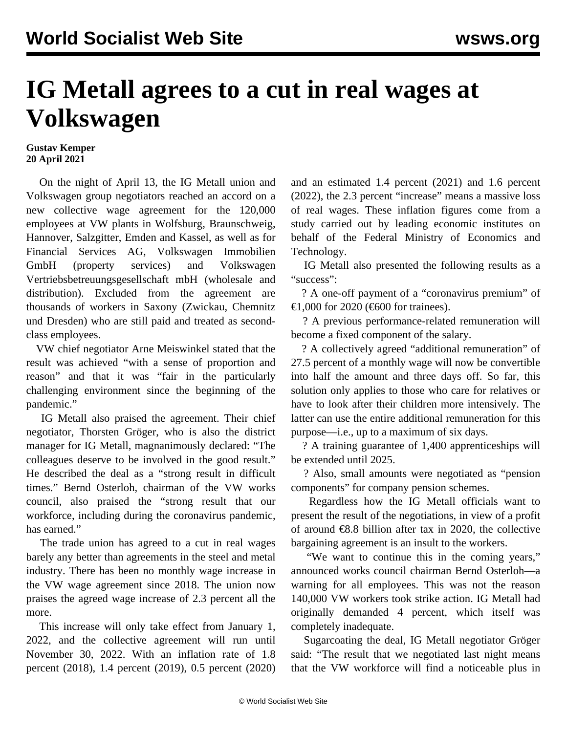## **IG Metall agrees to a cut in real wages at Volkswagen**

## **Gustav Kemper 20 April 2021**

 On the night of April 13, the IG Metall union and Volkswagen group negotiators reached an accord on a new collective wage agreement for the 120,000 employees at VW plants in Wolfsburg, Braunschweig, Hannover, Salzgitter, Emden and Kassel, as well as for Financial Services AG, Volkswagen Immobilien GmbH (property services) and Volkswagen Vertriebsbetreuungsgesellschaft mbH (wholesale and distribution). Excluded from the agreement are thousands of workers in Saxony (Zwickau, Chemnitz und Dresden) who are still paid and treated as secondclass employees.

 VW chief negotiator Arne Meiswinkel stated that the result was achieved "with a sense of proportion and reason" and that it was "fair in the particularly challenging environment since the beginning of the pandemic."

 IG Metall also praised the agreement. Their chief negotiator, Thorsten Gröger, who is also the district manager for IG Metall, magnanimously declared: "The colleagues deserve to be involved in the good result." He described the deal as a "strong result in difficult times." Bernd Osterloh, chairman of the VW works council, also praised the "strong result that our workforce, including during the coronavirus pandemic, has earned."

 The trade union has agreed to a cut in real wages barely any better than agreements in the steel and metal industry. There has been no monthly wage increase in the VW wage agreement since 2018. The union now praises the agreed wage increase of 2.3 percent all the more.

 This increase will only take effect from January 1, 2022, and the collective agreement will run until November 30, 2022. With an inflation rate of 1.8 percent (2018), 1.4 percent (2019), 0.5 percent (2020) and an estimated 1.4 percent (2021) and 1.6 percent (2022), the 2.3 percent "increase" means a massive loss of real wages. These inflation figures come from a study carried out by leading economic institutes on behalf of the Federal Ministry of Economics and Technology.

 IG Metall also presented the following results as a "success":

 ? A one-off payment of a "coronavirus premium" of €1,000 for 2020 (€600 for trainees).

 ? A previous performance-related remuneration will become a fixed component of the salary.

 ? A collectively agreed "additional remuneration" of 27.5 percent of a monthly wage will now be convertible into half the amount and three days off. So far, this solution only applies to those who care for relatives or have to look after their children more intensively. The latter can use the entire additional remuneration for this purpose—i.e., up to a maximum of six days.

 ? A training guarantee of 1,400 apprenticeships will be extended until 2025.

 ? Also, small amounts were negotiated as "pension components" for company pension schemes.

 Regardless how the IG Metall officials want to present the result of the negotiations, in view of a profit of around  $\epsilon$ 8.8 billion after tax in 2020, the collective bargaining agreement is an insult to the workers.

 "We want to continue this in the coming years," announced works council chairman Bernd Osterloh—a warning for all employees. This was not the reason 140,000 VW workers took strike action. IG Metall had originally demanded 4 percent, which itself was completely inadequate.

 Sugarcoating the deal, IG Metall negotiator Gröger said: "The result that we negotiated last night means that the VW workforce will find a noticeable plus in